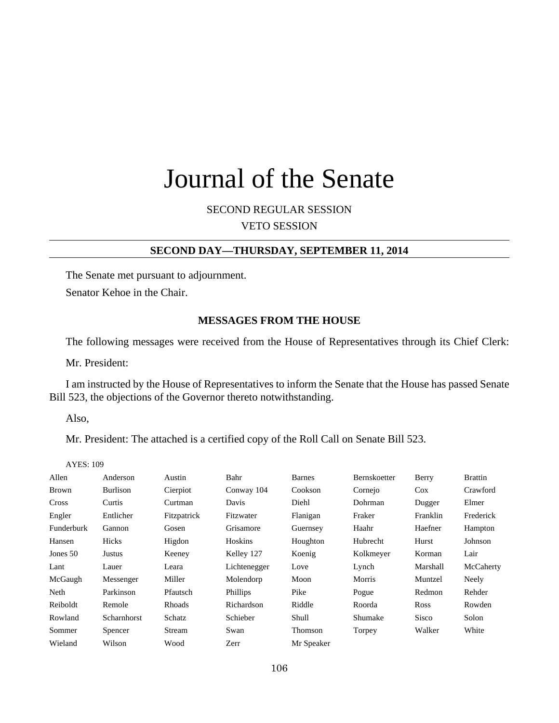# Journal of the Senate

SECOND REGULAR SESSION VETO SESSION

### **SECOND DAY—THURSDAY, SEPTEMBER 11, 2014**

The Senate met pursuant to adjournment.

Senator Kehoe in the Chair.

#### **MESSAGES FROM THE HOUSE**

The following messages were received from the House of Representatives through its Chief Clerk:

Mr. President:

I am instructed by the House of Representatives to inform the Senate that the House has passed Senate Bill 523, the objections of the Governor thereto notwithstanding.

Also,

Mr. President: The attached is a certified copy of the Roll Call on Senate Bill 523.

AYES: 109

| Allen        | Anderson        | Austin        | Bahr            | <b>Barnes</b> | Bernskoetter | Berry        | <b>Brattin</b> |
|--------------|-----------------|---------------|-----------------|---------------|--------------|--------------|----------------|
| <b>Brown</b> | <b>Burlison</b> | Cierpiot      | Conway 104      | Cookson       | Cornejo      | $\cos$       | Crawford       |
| Cross        | Curtis          | Curtman       | Davis           | Diehl         | Dohrman      | Dugger       | Elmer          |
| Engler       | Entlicher       | Fitzpatrick   | Fitzwater       | Flanigan      | Fraker       | Franklin     | Frederick      |
| Funderburk   | Gannon          | Gosen         | Grisamore       | Guernsey      | Haahr        | Haefner      | Hampton        |
| Hansen       | Hicks           | Higdon        | Hoskins         | Houghton      | Hubrecht     | Hurst        | Johnson        |
| Jones 50     | Justus          | Keeney        | Kelley 127      | Koenig        | Kolkmeyer    | Korman       | Lair           |
| Lant         | Lauer           | Leara         | Lichtenegger    | Love          | Lynch        | Marshall     | McCaherty      |
| McGaugh      | Messenger       | Miller        | Molendorp       | Moon          | Morris       | Muntzel      | Neely          |
| Neth         | Parkinson       | Pfautsch      | <b>Phillips</b> | Pike          | Pogue        | Redmon       | Rehder         |
| Reiboldt     | Remole          | <b>Rhoads</b> | Richardson      | Riddle        | Roorda       | <b>Ross</b>  | Rowden         |
| Rowland      | Scharnhorst     | Schatz        | Schieber        | Shull         | Shumake      | <b>Sisco</b> | Solon          |
| Sommer       | Spencer         | Stream        | Swan            | Thomson       | Torpey       | Walker       | White          |
| Wieland      | Wilson          | Wood          | Zerr            | Mr Speaker    |              |              |                |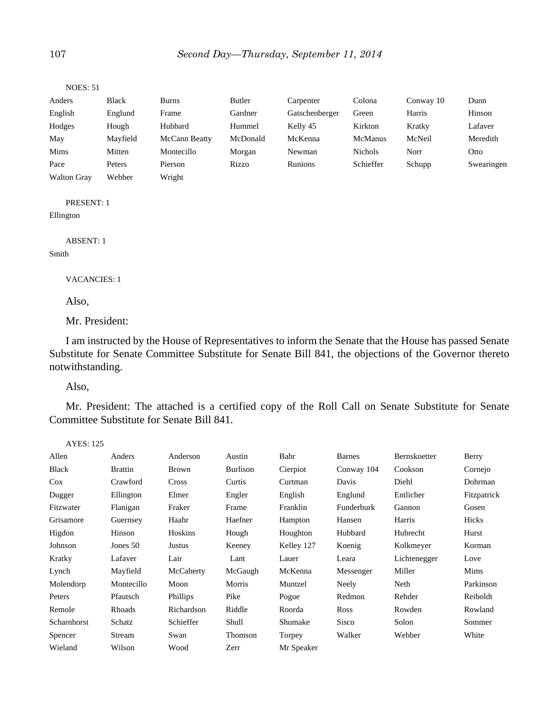| <b>NOES: 51</b>    |              |                      |          |                |                |           |            |
|--------------------|--------------|----------------------|----------|----------------|----------------|-----------|------------|
| Anders             | <b>Black</b> | Burns                | Butler   | Carpenter      | Colona         | Conway 10 | Dunn       |
| English            | Englund      | Frame                | Gardner  | Gatschenberger | Green          | Harris    | Hinson     |
| Hodges             | Hough        | Hubbard              | Hummel   | Kelly 45       | Kirkton        | Kratky    | Lafaver    |
| May                | Mayfield     | <b>McCann Beatty</b> | McDonald | McKenna        | <b>McManus</b> | McNeil    | Meredith   |
| <b>Mims</b>        | Mitten       | Montecillo           | Morgan   | Newman         | <b>Nichols</b> | Norr      | Otto       |
| Pace               | Peters       | Pierson              | Rizzo    | <b>Runions</b> | Schieffer      | Schupp    | Swearingen |
| <b>Walton Gray</b> | Webber       | Wright               |          |                |                |           |            |
|                    |              |                      |          |                |                |           |            |

PRESENT: 1

Ellington

ABSENT: 1

#### Smith

VACANCIES: 1

Also,

Mr. President:

I am instructed by the House of Representatives to inform the Senate that the House has passed Senate Substitute for Senate Committee Substitute for Senate Bill 841, the objections of the Governor thereto notwithstanding.

Also,

Mr. President: The attached is a certified copy of the Roll Call on Senate Substitute for Senate Committee Substitute for Senate Bill 841.

| AYES: 125    |                |                 |          |            |               |              |             |
|--------------|----------------|-----------------|----------|------------|---------------|--------------|-------------|
| Allen        | Anders         | Anderson        | Austin   | Bahr       | <b>Barnes</b> | Bernskoetter | Berry       |
| <b>Black</b> | <b>Brattin</b> | <b>Brown</b>    | Burlison | Cierpiot   | Conway 104    | Cookson      | Cornejo     |
| $\cos$       | Crawford       | <b>Cross</b>    | Curtis   | Curtman    | Davis         | Diehl        | Dohrman     |
| Dugger       | Ellington      | Elmer           | Engler   | English    | Englund       | Entlicher    | Fitzpatrick |
| Fitzwater    | Flanigan       | Fraker          | Frame    | Franklin   | Funderburk    | Gannon       | Gosen       |
| Grisamore    | Guernsey       | Haahr           | Haefner  | Hampton    | Hansen        | Harris       | Hicks       |
| Higdon       | Hinson         | Hoskins         | Hough    | Houghton   | Hubbard       | Hubrecht     | Hurst       |
| Johnson      | Jones 50       | Justus          | Keeney   | Kelley 127 | Koenig        | Kolkmeyer    | Korman      |
| Kratky       | Lafaver        | Lair            | Lant     | Lauer      | Leara         | Lichtenegger | Love        |
| Lynch        | Mayfield       | McCaherty       | McGaugh  | McKenna    | Messenger     | Miller       | Mims        |
| Molendorp    | Montecillo     | Moon            | Morris   | Muntzel    | Neely         | Neth         | Parkinson   |
| Peters       | Pfautsch       | <b>Phillips</b> | Pike     | Pogue      | Redmon        | Rehder       | Reiboldt    |
| Remole       | Rhoads         | Richardson      | Riddle   | Roorda     | <b>Ross</b>   | Rowden       | Rowland     |
| Scharnhorst  | Schatz         | Schieffer       | Shull    | Shumake    | Sisco         | Solon        | Sommer      |
| Spencer      | Stream         | Swan            | Thomson  | Torpey     | Walker        | Webber       | White       |
| Wieland      | Wilson         | Wood            | Zerr     | Mr Speaker |               |              |             |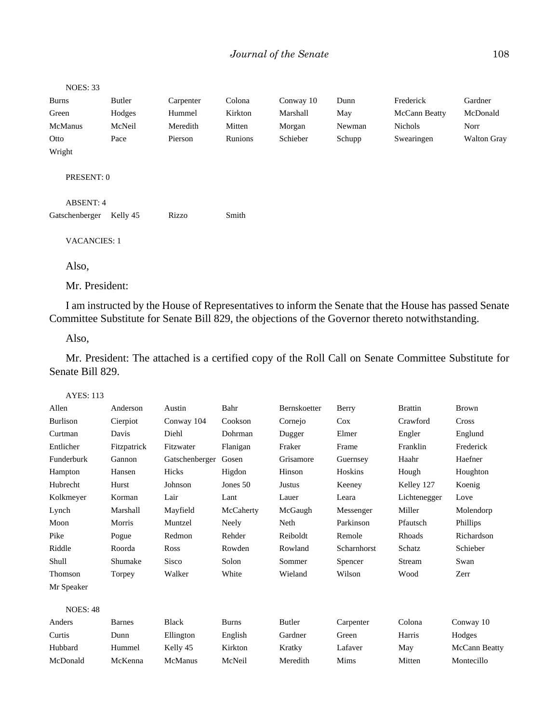| Butler   | Carpenter                                                                           | Colona  | Conway 10 | Dunn   | Frederick     | Gardner            |
|----------|-------------------------------------------------------------------------------------|---------|-----------|--------|---------------|--------------------|
| Hodges   | Hummel                                                                              | Kirkton | Marshall  | May    | McCann Beatty | McDonald           |
| McNeil   | Meredith                                                                            | Mitten  | Morgan    | Newman | Nichols       | Norr               |
| Pace     | Pierson                                                                             | Runions | Schieber  | Schupp | Swearingen    | <b>Walton Gray</b> |
|          |                                                                                     |         |           |        |               |                    |
|          |                                                                                     |         |           |        |               |                    |
| Kelly 45 | Rizzo                                                                               | Smith   |           |        |               |                    |
|          |                                                                                     |         |           |        |               |                    |
|          |                                                                                     |         |           |        |               |                    |
|          | <b>NOES: 33</b><br>PRESENT: 0<br>ABSENT: 4<br>Gatschenberger<br><b>VACANCIES: 1</b> |         |           |        |               |                    |

Mr. President:

I am instructed by the House of Representatives to inform the Senate that the House has passed Senate Committee Substitute for Senate Bill 829, the objections of the Governor thereto notwithstanding.

Also,

Mr. President: The attached is a certified copy of the Roll Call on Senate Committee Substitute for Senate Bill 829.

| AYES: |  |  | 13 |
|-------|--|--|----|
|-------|--|--|----|

| Allen           | Anderson      | Austin         | Bahr         | Bernskoetter | Berry       | <b>Brattin</b> | <b>Brown</b>         |
|-----------------|---------------|----------------|--------------|--------------|-------------|----------------|----------------------|
| <b>Burlison</b> | Cierpiot      | Conway 104     | Cookson      | Cornejo      | $\cos$      | Crawford       | Cross                |
| Curtman         | Davis         | Diehl          | Dohrman      | Dugger       | Elmer       | Engler         | Englund              |
| Entlicher       | Fitzpatrick   | Fitzwater      | Flanigan     | Fraker       | Frame       | Franklin       | Frederick            |
| Funderburk      | Gannon        | Gatschenberger | Gosen        | Grisamore    | Guernsey    | Haahr          | Haefner              |
| Hampton         | Hansen        | Hicks          | Higdon       | Hinson       | Hoskins     | Hough          | Houghton             |
| Hubrecht        | Hurst         | Johnson        | Jones 50     | Justus       | Keeney      | Kelley 127     | Koenig               |
| Kolkmeyer       | Korman        | Lair           | Lant         | Lauer        | Leara       | Lichtenegger   | Love                 |
| Lynch           | Marshall      | Mayfield       | McCaherty    | McGaugh      | Messenger   | Miller         | Molendorp            |
| Moon            | Morris        | Muntzel        | Neely        | Neth         | Parkinson   | Pfautsch       | <b>Phillips</b>      |
| Pike            | Pogue         | Redmon         | Rehder       | Reiboldt     | Remole      | Rhoads         | Richardson           |
| Riddle          | Roorda        | Ross           | Rowden       | Rowland      | Scharnhorst | Schatz         | Schieber             |
| Shull           | Shumake       | <b>Sisco</b>   | Solon        | Sommer       | Spencer     | Stream         | Swan                 |
| Thomson         | Torpey        | Walker         | White        | Wieland      | Wilson      | Wood           | Zerr                 |
| Mr Speaker      |               |                |              |              |             |                |                      |
| <b>NOES: 48</b> |               |                |              |              |             |                |                      |
| Anders          | <b>Barnes</b> | <b>Black</b>   | <b>Burns</b> | Butler       | Carpenter   | Colona         | Conway 10            |
| Curtis          | Dunn          | Ellington      | English      | Gardner      | Green       | Harris         | Hodges               |
| Hubbard         | Hummel        | Kelly 45       | Kirkton      | Kratky       | Lafaver     | May            | <b>McCann Beatty</b> |
| McDonald        | McKenna       | <b>McManus</b> | McNeil       | Meredith     | Mims        | Mitten         | Montecillo           |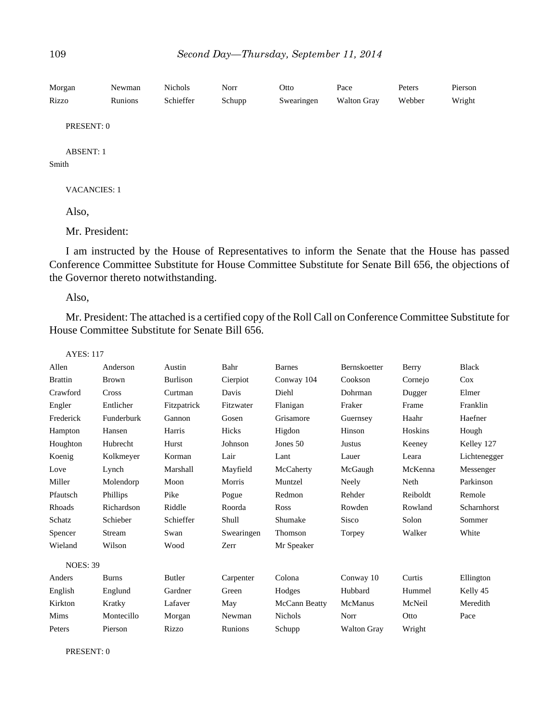| Morgan<br>Rizzo           | Newman<br>Runions | Nichols<br>Schieffer | Norr<br>Schupp | Otto<br>Swearingen | Pace<br><b>Walton Gray</b> | Peters<br>Webber | Pierson<br>Wright |
|---------------------------|-------------------|----------------------|----------------|--------------------|----------------------------|------------------|-------------------|
| PRESENT: 0                |                   |                      |                |                    |                            |                  |                   |
| <b>ABSENT: 1</b><br>Smith |                   |                      |                |                    |                            |                  |                   |
| <b>VACANCIES: 1</b>       |                   |                      |                |                    |                            |                  |                   |
| Also,                     |                   |                      |                |                    |                            |                  |                   |
|                           |                   |                      |                |                    |                            |                  |                   |

Mr. President:

I am instructed by the House of Representatives to inform the Senate that the House has passed Conference Committee Substitute for House Committee Substitute for Senate Bill 656, the objections of the Governor thereto notwithstanding.

Also,

Mr. President: The attached is a certified copy of the Roll Call on Conference Committee Substitute for House Committee Substitute for Senate Bill 656.

| <b>AYES: 117</b> |              |                 |            |                |                    |          |              |
|------------------|--------------|-----------------|------------|----------------|--------------------|----------|--------------|
| Allen            | Anderson     | Austin          | Bahr       | <b>Barnes</b>  | Bernskoetter       | Berry    | <b>Black</b> |
| <b>Brattin</b>   | <b>Brown</b> | <b>Burlison</b> | Cierpiot   | Conway 104     | Cookson            | Cornejo  | $\cos$       |
| Crawford         | Cross        | Curtman         | Davis      | Diehl          | Dohrman            | Dugger   | Elmer        |
| Engler           | Entlicher    | Fitzpatrick     | Fitzwater  | Flanigan       | Fraker             | Frame    | Franklin     |
| Frederick        | Funderburk   | Gannon          | Gosen      | Grisamore      | Guernsey           | Haahr    | Haefner      |
| Hampton          | Hansen       | Harris          | Hicks      | Higdon         | Hinson             | Hoskins  | Hough        |
| Houghton         | Hubrecht     | Hurst           | Johnson    | Jones 50       | Justus             | Keeney   | Kelley 127   |
| Koenig           | Kolkmeyer    | Korman          | Lair       | Lant           | Lauer              | Leara    | Lichtenegger |
| Love             | Lynch        | Marshall        | Mayfield   | McCaherty      | McGaugh            | McKenna  | Messenger    |
| Miller           | Molendorp    | Moon            | Morris     | Muntzel        | Neely              | Neth     | Parkinson    |
| Pfautsch         | Phillips     | Pike            | Pogue      | Redmon         | Rehder             | Reiboldt | Remole       |
| Rhoads           | Richardson   | Riddle          | Roorda     | Ross           | Rowden             | Rowland  | Scharnhorst  |
| Schatz           | Schieber     | Schieffer       | Shull      | Shumake        | Sisco              | Solon    | Sommer       |
| Spencer          | Stream       | Swan            | Swearingen | Thomson        | Torpey             | Walker   | White        |
| Wieland          | Wilson       | Wood            | Zerr       | Mr Speaker     |                    |          |              |
| <b>NOES: 39</b>  |              |                 |            |                |                    |          |              |
| Anders           | <b>Burns</b> | Butler          | Carpenter  | Colona         | Conway 10          | Curtis   | Ellington    |
| English          | Englund      | Gardner         | Green      | Hodges         | Hubbard            | Hummel   | Kelly 45     |
| Kirkton          | Kratky       | Lafaver         | May        | McCann Beatty  | McManus            | McNeil   | Meredith     |
| Mims             | Montecillo   | Morgan          | Newman     | <b>Nichols</b> | Norr               | Otto     | Pace         |
| Peters           | Pierson      | Rizzo           | Runions    | Schupp         | <b>Walton Gray</b> | Wright   |              |
|                  |              |                 |            |                |                    |          |              |

PRESENT: 0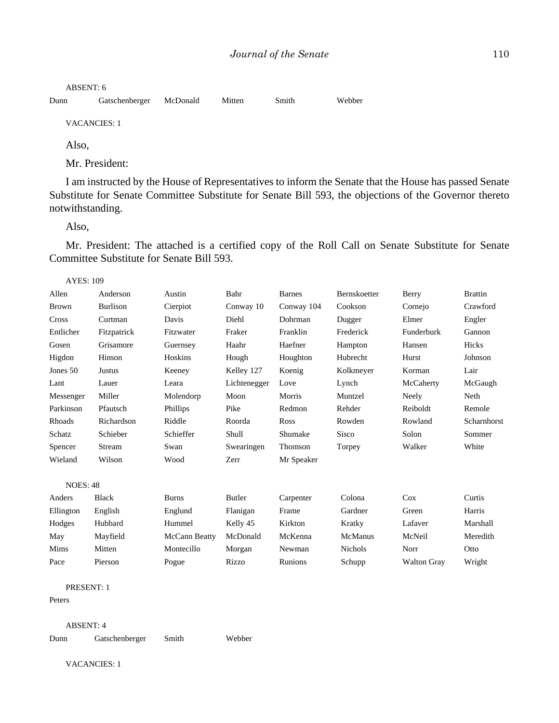ABSENT: 6

Dunn Gatschenberger McDonald Mitten Smith Webber

VACANCIES: 1

Also,

Mr. President:

I am instructed by the House of Representatives to inform the Senate that the House has passed Senate Substitute for Senate Committee Substitute for Senate Bill 593, the objections of the Governor thereto notwithstanding.

Also,

Mr. President: The attached is a certified copy of the Roll Call on Senate Substitute for Senate Committee Substitute for Senate Bill 593.

AYES: 109

| Allen           | Anderson        | Austin               | Bahr         | <b>Barnes</b> | Bernskoetter   | Berry              | <b>Brattin</b> |
|-----------------|-----------------|----------------------|--------------|---------------|----------------|--------------------|----------------|
| <b>Brown</b>    | <b>Burlison</b> | Cierpiot             | Conway 10    | Conway 104    | Cookson        | Cornejo            | Crawford       |
| Cross           | Curtman         | Davis                | Diehl        | Dohrman       | Dugger         | Elmer              | Engler         |
| Entlicher       | Fitzpatrick     | Fitzwater            | Fraker       | Franklin      | Frederick      | Funderburk         | Gannon         |
| Gosen           | Grisamore       | Guernsey             | Haahr        | Haefner       | Hampton        | Hansen             | Hicks          |
| Higdon          | Hinson          | Hoskins              | Hough        | Houghton      | Hubrecht       | Hurst              | Johnson        |
| Jones 50        | <b>Justus</b>   | Keeney               | Kelley 127   | Koenig        | Kolkmeyer      | Korman             | Lair           |
| Lant            | Lauer           | Leara                | Lichtenegger | Love          | Lynch          | McCaherty          | McGaugh        |
| Messenger       | Miller          | Molendorp            | Moon         | Morris        | Muntzel        | Neely              | Neth           |
| Parkinson       | Pfautsch        | Phillips             | Pike         | Redmon        | Rehder         | Reiboldt           | Remole         |
| Rhoads          | Richardson      | Riddle               | Roorda       | Ross          | Rowden         | Rowland            | Scharnhorst    |
| Schatz          | Schieber        | Schieffer            | Shull        | Shumake       | <b>Sisco</b>   | Solon              | Sommer         |
| Spencer         | Stream          | Swan                 | Swearingen   | Thomson       | Torpey         | Walker             | White          |
| Wieland         | Wilson          | Wood                 | Zerr         | Mr Speaker    |                |                    |                |
| <b>NOES: 48</b> |                 |                      |              |               |                |                    |                |
| Anders          | <b>Black</b>    | <b>Burns</b>         | Butler       | Carpenter     | Colona         | Cox                | Curtis         |
| Ellington       | English         | Englund              | Flanigan     | Frame         | Gardner        | Green              | Harris         |
| Hodges          | Hubbard         | Hummel               | Kelly 45     | Kirkton       | Kratky         | Lafaver            | Marshall       |
| May             | Mayfield        | <b>McCann Beatty</b> | McDonald     | McKenna       | McManus        | McNeil             | Meredith       |
| Mims            | Mitten          | Montecillo           | Morgan       | Newman        | <b>Nichols</b> | Norr               | Otto           |
| Pace            | Pierson         | Pogue                | Rizzo        | Runions       | Schupp         | <b>Walton Gray</b> | Wright         |
|                 |                 |                      |              |               |                |                    |                |

PRESENT: 1

Peters

ABSENT: 4

Dunn Gatschenberger Smith Webber

VACANCIES: 1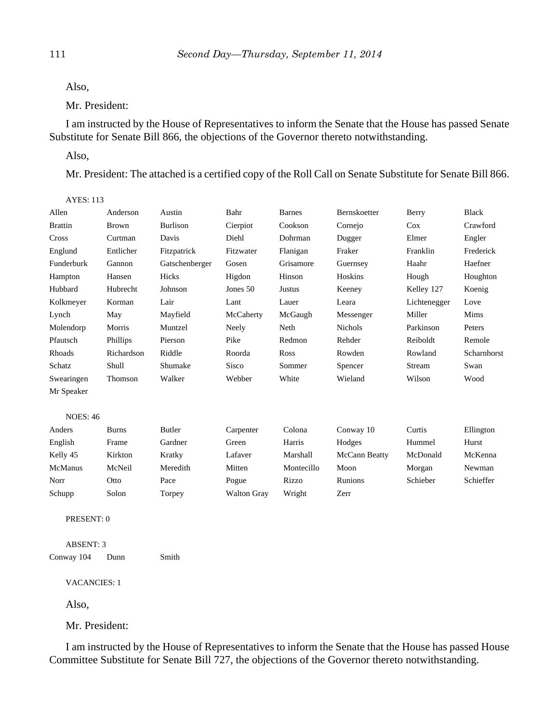Also,

Mr. President:

I am instructed by the House of Representatives to inform the Senate that the House has passed Senate Substitute for Senate Bill 866, the objections of the Governor thereto notwithstanding.

Also,

 $AYES: 113$ 

Mr. President: The attached is a certified copy of the Roll Call on Senate Substitute for Senate Bill 866.

| Allen           | Anderson     | Austin          | Bahr               | <b>Barnes</b> | Bernskoetter   | Berry        | <b>Black</b> |
|-----------------|--------------|-----------------|--------------------|---------------|----------------|--------------|--------------|
| <b>Brattin</b>  | <b>Brown</b> | <b>Burlison</b> | Cierpiot           | Cookson       | Cornejo        | $\cos$       | Crawford     |
| Cross           | Curtman      | Davis           | Diehl              | Dohrman       | Dugger         | Elmer        | Engler       |
| Englund         | Entlicher    | Fitzpatrick     | Fitzwater          | Flanigan      | Fraker         | Franklin     | Frederick    |
| Funderburk      | Gannon       | Gatschenberger  | Gosen              | Grisamore     | Guernsey       | Haahr        | Haefner      |
| Hampton         | Hansen       | Hicks           | Higdon             | Hinson        | Hoskins        | Hough        | Houghton     |
| Hubbard         | Hubrecht     | Johnson         | Jones 50           | <b>Justus</b> | Keeney         | Kelley 127   | Koenig       |
| Kolkmeyer       | Korman       | Lair            | Lant               | Lauer         | Leara          | Lichtenegger | Love         |
| Lynch           | May          | Mayfield        | McCaherty          | McGaugh       | Messenger      | Miller       | Mims         |
| Molendorp       | Morris       | Muntzel         | Neely              | Neth          | <b>Nichols</b> | Parkinson    | Peters       |
| Pfautsch        | Phillips     | Pierson         | Pike               | Redmon        | Rehder         | Reiboldt     | Remole       |
| Rhoads          | Richardson   | Riddle          | Roorda             | Ross          | Rowden         | Rowland      | Scharnhorst  |
| Schatz          | Shull        | Shumake         | Sisco              | Sommer        | Spencer        | Stream       | Swan         |
| Swearingen      | Thomson      | Walker          | Webber             | White         | Wieland        | Wilson       | Wood         |
| Mr Speaker      |              |                 |                    |               |                |              |              |
|                 |              |                 |                    |               |                |              |              |
| <b>NOES: 46</b> |              |                 |                    |               |                |              |              |
| Anders          | <b>Burns</b> | Butler          | Carpenter          | Colona        | Conway 10      | Curtis       | Ellington    |
| English         | Frame        | Gardner         | Green              | Harris        | Hodges         | Hummel       | Hurst        |
| Kelly 45        | Kirkton      | Kratky          | Lafaver            | Marshall      | McCann Beatty  | McDonald     | McKenna      |
| McManus         | McNeil       | Meredith        | Mitten             | Montecillo    | Moon           | Morgan       | Newman       |
| Norr            | Otto         | Pace            | Pogue              | Rizzo         | Runions        | Schieber     | Schieffer    |
| Schupp          | Solon        | Torpey          | <b>Walton Gray</b> | Wright        | Zerr           |              |              |
|                 |              |                 |                    |               |                |              |              |

PRESENT: 0

ABSENT: 3

Conway 104 Dunn Smith

VACANCIES: 1

Also,

Mr. President:

I am instructed by the House of Representatives to inform the Senate that the House has passed House Committee Substitute for Senate Bill 727, the objections of the Governor thereto notwithstanding.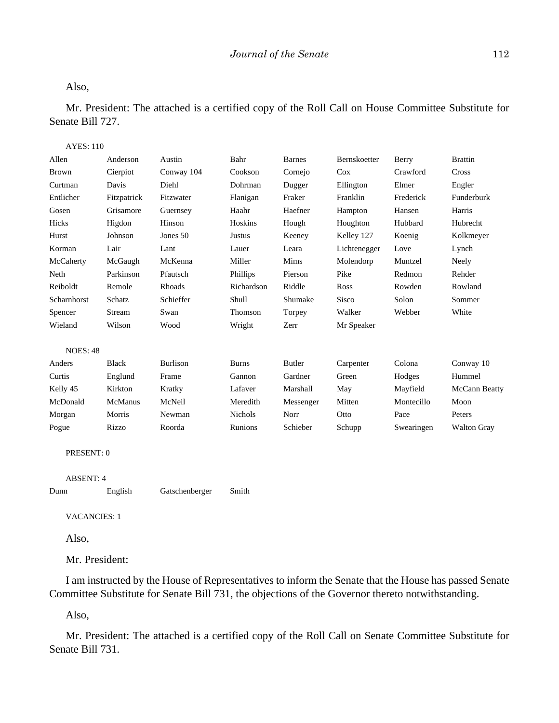#### Also,

Mr. President: The attached is a certified copy of the Roll Call on House Committee Substitute for Senate Bill 727.

### AYES: 110

| Allen            | Anderson     | Austin          | Bahr           | <b>Barnes</b> | Bernskoetter | Berry      | <b>Brattin</b>     |
|------------------|--------------|-----------------|----------------|---------------|--------------|------------|--------------------|
| <b>Brown</b>     | Cierpiot     | Conway 104      | Cookson        | Cornejo       | Cox          | Crawford   | Cross              |
| Curtman          | Davis        | Diehl           | Dohrman        | Dugger        | Ellington    | Elmer      | Engler             |
| Entlicher        | Fitzpatrick  | Fitzwater       | Flanigan       | Fraker        | Franklin     | Frederick  | Funderburk         |
| Gosen            | Grisamore    | Guernsey        | Haahr          | Haefner       | Hampton      | Hansen     | Harris             |
| Hicks            | Higdon       | Hinson          | Hoskins        | Hough         | Houghton     | Hubbard    | Hubrecht           |
| Hurst            | Johnson      | Jones 50        | <b>Justus</b>  | Keeney        | Kelley 127   | Koenig     | Kolkmeyer          |
| Korman           | Lair         | Lant            | Lauer          | Leara         | Lichtenegger | Love       | Lynch              |
| McCaherty        | McGaugh      | McKenna         | Miller         | Mims          | Molendorp    | Muntzel    | Neely              |
| Neth             | Parkinson    | Pfautsch        | Phillips       | Pierson       | Pike         | Redmon     | Rehder             |
| Reiboldt         | Remole       | Rhoads          | Richardson     | Riddle        | Ross         | Rowden     | Rowland            |
| Scharnhorst      | Schatz       | Schieffer       | Shull          | Shumake       | Sisco        | Solon      | Sommer             |
| Spencer          | Stream       | Swan            | Thomson        | Torpey        | Walker       | Webber     | White              |
| Wieland          | Wilson       | Wood            | Wright         | Zerr          | Mr Speaker   |            |                    |
| <b>NOES: 48</b>  |              |                 |                |               |              |            |                    |
| Anders           | <b>Black</b> | <b>Burlison</b> | <b>Burns</b>   | <b>Butler</b> | Carpenter    | Colona     | Conway 10          |
| Curtis           | Englund      | Frame           | Gannon         | Gardner       | Green        | Hodges     | Hummel             |
| Kelly 45         | Kirkton      | Kratky          | Lafaver        | Marshall      | May          | Mayfield   | McCann Beatty      |
| McDonald         | McManus      | McNeil          | Meredith       | Messenger     | Mitten       | Montecillo | Moon               |
| Morgan           | Morris       | Newman          | <b>Nichols</b> | Norr          | Otto         | Pace       | Peters             |
| Pogue            | Rizzo        | Roorda          | Runions        | Schieber      | Schupp       | Swearingen | <b>Walton Gray</b> |
| PRESENT: 0       |              |                 |                |               |              |            |                    |
|                  |              |                 |                |               |              |            |                    |
| <b>ABSENT: 4</b> |              |                 |                |               |              |            |                    |

| Dunn | English | Gatschenberger | Smith |
|------|---------|----------------|-------|

VACANCIES: 1

Also,

Mr. President:

I am instructed by the House of Representatives to inform the Senate that the House has passed Senate Committee Substitute for Senate Bill 731, the objections of the Governor thereto notwithstanding.

Also,

Mr. President: The attached is a certified copy of the Roll Call on Senate Committee Substitute for Senate Bill 731.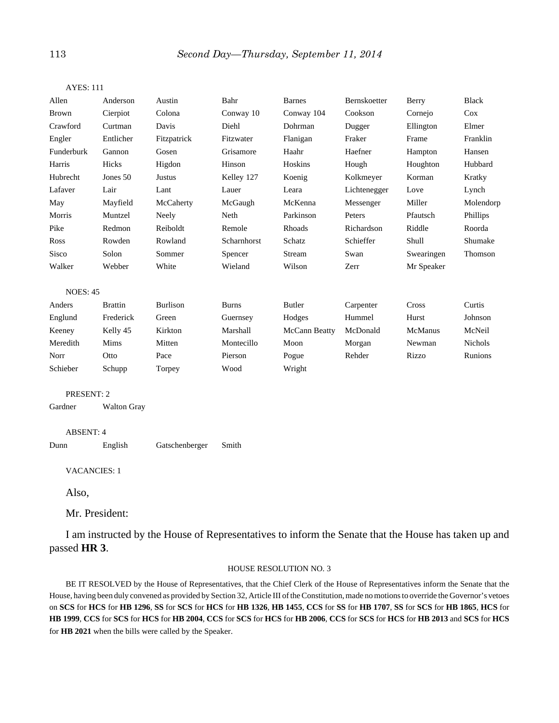| Allen               | Anderson           | Austin          | Bahr         | <b>Barnes</b>                                                                                        | Bernskoetter | Berry      | <b>Black</b> |
|---------------------|--------------------|-----------------|--------------|------------------------------------------------------------------------------------------------------|--------------|------------|--------------|
| <b>Brown</b>        | Cierpiot           | Colona          | Conway 10    | Conway 104                                                                                           | Cookson      | Cornejo    | Cox          |
| Crawford            | Curtman            | Davis           | Diehl        | Dohrman                                                                                              | Dugger       | Ellington  | Elmer        |
| Engler              | Entlicher          | Fitzpatrick     | Fitzwater    | Flanigan                                                                                             | Fraker       | Frame      | Franklin     |
| Funderburk          | Gannon             | Gosen           | Grisamore    | Haahr                                                                                                | Haefner      | Hampton    | Hansen       |
| Harris              | Hicks              | Higdon          | Hinson       | Hoskins                                                                                              | Hough        | Houghton   | Hubbard      |
| Hubrecht            | Jones 50           | <b>Justus</b>   | Kelley 127   | Koenig                                                                                               | Kolkmeyer    | Korman     | Kratky       |
| Lafaver             | Lair               | Lant            | Lauer        | Leara                                                                                                | Lichtenegger | Love       | Lynch        |
| May                 | Mayfield           | McCaherty       | McGaugh      | McKenna                                                                                              | Messenger    | Miller     | Molendorp    |
| Morris              | Muntzel            | Neely           | Neth         | Parkinson                                                                                            | Peters       | Pfautsch   | Phillips     |
| Pike                | Redmon             | Reiboldt        | Remole       | Rhoads                                                                                               | Richardson   | Riddle     | Roorda       |
| Ross                | Rowden             | Rowland         | Scharnhorst  | Schatz                                                                                               | Schieffer    | Shull      | Shumake      |
| Sisco               | Solon              | Sommer          | Spencer      | Stream                                                                                               | Swan         | Swearingen | Thomson      |
| Walker              | Webber             | White           | Wieland      | Wilson                                                                                               | Zerr         | Mr Speaker |              |
| <b>NOES: 45</b>     |                    |                 |              |                                                                                                      |              |            |              |
| Anders              | <b>Brattin</b>     | <b>Burlison</b> | <b>Burns</b> | <b>Butler</b>                                                                                        | Carpenter    | Cross      | Curtis       |
| Englund             | Frederick          | Green           | Guernsey     | Hodges                                                                                               | Hummel       | Hurst      | Johnson      |
| Keeney              | Kelly 45           | Kirkton         | Marshall     | McCann Beatty                                                                                        | McDonald     | McManus    | McNeil       |
| Meredith            | Mims               | Mitten          | Montecillo   | Moon                                                                                                 | Morgan       | Newman     | Nichols      |
| Norr                | Otto               | Pace            | Pierson      | Pogue                                                                                                | Rehder       | Rizzo      | Runions      |
| Schieber            | Schupp             | Torpey          | Wood         | Wright                                                                                               |              |            |              |
| PRESENT: 2          |                    |                 |              |                                                                                                      |              |            |              |
| Gardner             | <b>Walton Gray</b> |                 |              |                                                                                                      |              |            |              |
| <b>ABSENT: 4</b>    |                    |                 |              |                                                                                                      |              |            |              |
| Dunn                | English            | Gatschenberger  | Smith        |                                                                                                      |              |            |              |
| <b>VACANCIES: 1</b> |                    |                 |              |                                                                                                      |              |            |              |
| Also,               |                    |                 |              |                                                                                                      |              |            |              |
|                     |                    |                 |              |                                                                                                      |              |            |              |
|                     | Mr. President:     |                 |              |                                                                                                      |              |            |              |
| passed HR 3.        |                    |                 |              | I am instructed by the House of Representatives to inform the Senate that the House has taken up and |              |            |              |
|                     |                    |                 |              |                                                                                                      |              |            |              |

#### AYES: 111

#### HOUSE RESOLUTION NO. 3

BE IT RESOLVED by the House of Representatives, that the Chief Clerk of the House of Representatives inform the Senate that the House, having been duly convened as provided by Section 32, Article III of the Constitution, made no motions to override the Governor's vetoes on SCS for HCS for HB 1296, SS for SCS for HCS for HB 1326, HB 1455, CCS for SS for HB 1707, SS for SCS for HB 1865, HCS for HB 1999, CCS for SCS for HCS for HB 2004, CCS for SCS for HCS for HB 2006, CCS for SCS for HCS for HB 2013 and SCS for HCS for **HB 2021** when the bills were called by the Speaker.